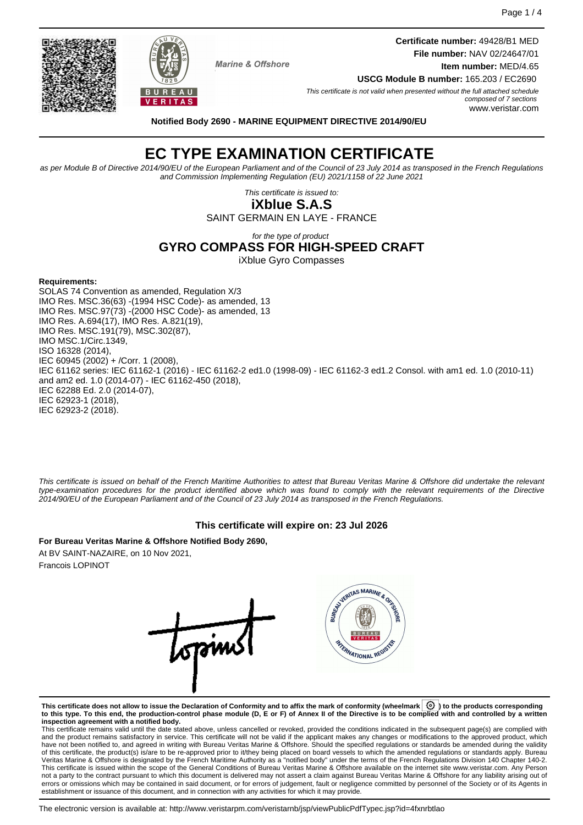**Certificate number:** 49428/B1 MED **File number:** NAV 02/24647/01 **Item number:** MED/4.65



**Marine & Offshore** 

**USCG Module B number:** 165.203 / EC2690

This certificate is not valid when presented without the full attached schedule composed of 7 sections www.veristar.com

**Notified Body 2690 - MARINE EQUIPMENT DIRECTIVE 2014/90/EU**

# **EC TYPE EXAMINATION CERTIFICATE**

as per Module B of Directive 2014/90/EU of the European Parliament and of the Council of 23 July 2014 as transposed in the French Regulations and Commission Implementing Regulation (EU) 2021/1158 of 22 June 2021

This certificate is issued to:

**iXblue S.A.S** SAINT GERMAIN EN LAYE - FRANCE

for the type of product

# **GYRO COMPASS FOR HIGH-SPEED CRAFT**

iXblue Gyro Compasses

#### **Requirements:**

SOLAS 74 Convention as amended, Regulation X/3 IMO Res. MSC.36(63) -(1994 HSC Code)- as amended, 13 IMO Res. MSC.97(73) -(2000 HSC Code)- as amended, 13 IMO Res. A.694(17), IMO Res. A.821(19), IMO Res. MSC.191(79), MSC.302(87), IMO MSC.1/Circ.1349, ISO 16328 (2014), IEC 60945 (2002) + /Corr. 1 (2008), IEC 61162 series: IEC 61162-1 (2016) - IEC 61162-2 ed1.0 (1998-09) - IEC 61162-3 ed1.2 Consol. with am1 ed. 1.0 (2010-11) and am2 ed. 1.0 (2014-07) - IEC 61162-450 (2018), IEC 62288 Ed. 2.0 (2014-07), IEC 62923-1 (2018), IEC 62923-2 (2018).

This certificate is issued on behalf of the French Maritime Authorities to attest that Bureau Veritas Marine & Offshore did undertake the relevant type-examination procedures for the product identified above which was found to comply with the relevant requirements of the Directive 2014/90/EU of the European Parliament and of the Council of 23 July 2014 as transposed in the French Regulations.

### **This certificate will expire on: 23 Jul 2026**

**For Bureau Veritas Marine & Offshore Notified Body 2690,** At BV SAINT-NAZAIRE, on 10 Nov 2021, Francois LOPINOT

VERITAS MARINE & ORTIC opin REAMATIONAL REG

**This certificate does not allow to issue the Declaration of Conformity and to affix the mark of conformity (wheelmark ) to the products corresponding to this type. To this end, the production-control phase module (D, E or F) of Annex II of the Directive is to be complied with and controlled by a written**

**inspection agreement with a notified body.**<br>This certificate remains valid until the date stated above, unless cancelled or revoked, provided the conditions indicated in the subsequent page(s) are complied with and the product remains satisfactory in service. This certificate will not be valid if the applicant makes any changes or modifications to the approved product, which have not been notified to, and agreed in writing with Bureau Veritas Marine & Offshore. Should the specified regulations or standards be amended during the validity of this certificate, the product(s) is/are to be re-approved prior to it/they being placed on board vessels to which the amended regulations or standards apply. Bureau<br>Veritas Marine & Offshore is designated by the French not a party to the contract pursuant to which this document is delivered may not assert a claim against Bureau Veritas Marine & Offshore for any liability arising out of errors or omissions which may be contained in said document, or for errors of judgement, fault or negligence committed by personnel of the Society or of its Agents in establishment or issuance of this document, and in connection with any activities for which it may provide.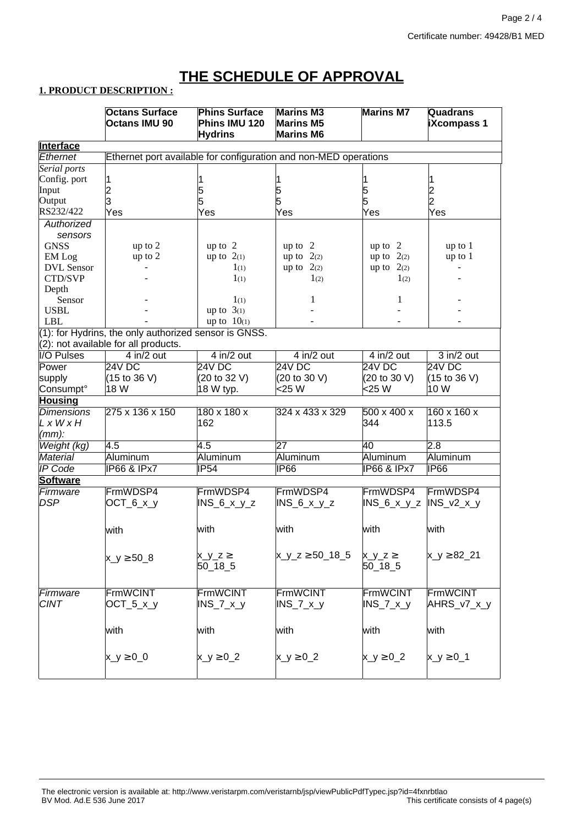# **THE SCHEDULE OF APPROVAL**

## **1. PRODUCT DESCRIPTION :**

|                       | <b>Octans Surface</b>                                            | <b>Phins Surface</b>    | <b>Marins M3</b>            | <b>Marins M7</b>       | Quadrans                        |  |  |  |  |
|-----------------------|------------------------------------------------------------------|-------------------------|-----------------------------|------------------------|---------------------------------|--|--|--|--|
|                       | <b>Octans IMU 90</b>                                             | Phins IMU 120           | <b>Marins M5</b>            |                        | <b>iXcompass 1</b>              |  |  |  |  |
|                       |                                                                  | <b>Hydrins</b>          | <b>Marins M6</b>            |                        |                                 |  |  |  |  |
| <b>Interface</b>      |                                                                  |                         |                             |                        |                                 |  |  |  |  |
| Ethernet              | Ethernet port available for configuration and non-MED operations |                         |                             |                        |                                 |  |  |  |  |
| Serial ports          |                                                                  |                         |                             |                        |                                 |  |  |  |  |
| Config. port          | 1                                                                |                         |                             |                        |                                 |  |  |  |  |
| Input                 |                                                                  | 5                       |                             |                        |                                 |  |  |  |  |
| Output                | 2<br>3                                                           | 5                       | 5<br>5                      | 5<br>5                 |                                 |  |  |  |  |
| RS232/422             | Yes                                                              | Yes                     | Yes                         | Yes                    | 2<br>2<br>Yes                   |  |  |  |  |
| Authorized            |                                                                  |                         |                             |                        |                                 |  |  |  |  |
| sensors               |                                                                  |                         |                             |                        |                                 |  |  |  |  |
| <b>GNSS</b>           | up to 2                                                          | up to $2$               | up to 2                     | up to 2                | up to 1                         |  |  |  |  |
|                       |                                                                  |                         |                             |                        |                                 |  |  |  |  |
| EM Log                | up to 2                                                          | up to $2(1)$            | up to $2(2)$                | up to $2(2)$           | up to 1                         |  |  |  |  |
| DVL Sensor            |                                                                  | $1_{(1)}$               | up to $2(2)$                | up to $2(2)$           |                                 |  |  |  |  |
| CTD/SVP               |                                                                  | $1_{(1)}$               | 1 <sub>(2)</sub>            | 1(2)                   |                                 |  |  |  |  |
| Depth                 |                                                                  |                         |                             |                        |                                 |  |  |  |  |
| Sensor                |                                                                  | $1_{(1)}$               | 1                           | 1                      |                                 |  |  |  |  |
| <b>USBL</b>           |                                                                  | up to $3(1)$            |                             |                        |                                 |  |  |  |  |
| <b>LBL</b>            |                                                                  | up to $10(1)$           |                             |                        |                                 |  |  |  |  |
|                       | (1): for Hydrins, the only authorized sensor is GNSS.            |                         |                             |                        |                                 |  |  |  |  |
|                       | (2): not available for all products.                             |                         |                             |                        |                                 |  |  |  |  |
| I/O Pulses            | $4$ in/2 out                                                     | $4$ in/2 out            | $4$ in/2 out                | $4$ in/2 out           | $3$ in/2 out                    |  |  |  |  |
| Power                 | 24V DC                                                           | 24V DC                  | 24V DC                      | 24V DC                 | 24V DC                          |  |  |  |  |
| supply                | (15 to 36 V)                                                     | (20 to 32 V)            | (20 to 30 V)                | (20 to 30 V)           | $(15 \text{ to } 36 \text{ V})$ |  |  |  |  |
| Consumpt <sup>o</sup> | 18 W                                                             | 18 W typ.               | <25 W                       | <25 W                  | 10 W                            |  |  |  |  |
| <b>Housing</b>        |                                                                  |                         |                             |                        |                                 |  |  |  |  |
| <b>Dimensions</b>     | 275 x 136 x 150                                                  | $180 \times 180 \times$ | 324 x 433 x 329             | 500 x 400 x            | $160 \times 160 \times$         |  |  |  |  |
| LxWxH                 |                                                                  | 162                     |                             | 344                    | 113.5                           |  |  |  |  |
| $(mm)$ :              |                                                                  |                         |                             |                        |                                 |  |  |  |  |
| Weight (kg)           | 4.5                                                              | 4.5                     | 27                          | 40                     | 2.8                             |  |  |  |  |
| <b>Material</b>       | Aluminum                                                         | Aluminum                | Aluminum                    | Aluminum               | Aluminum                        |  |  |  |  |
| <b>IP Code</b>        | <b>IP66 &amp; IPx7</b>                                           | IP54                    | IP66                        | <b>IP66 &amp; IPx7</b> | IP66                            |  |  |  |  |
|                       |                                                                  |                         |                             |                        |                                 |  |  |  |  |
| <b>Software</b>       |                                                                  |                         |                             |                        |                                 |  |  |  |  |
| Firmware              | FrmWDSP4                                                         | FrmWDSP4                | FrmWDSP4                    | FrmWDSP4               | FrmWDSP4                        |  |  |  |  |
| <b>DSP</b>            | $OCT_6_x_y$                                                      | $INS_6_x_y_z$           | $INS_6_x_y_z$               | $INS_6_x_y_z$          | $INS_v2_x_y$                    |  |  |  |  |
|                       |                                                                  |                         |                             |                        |                                 |  |  |  |  |
|                       | with                                                             | with                    | with                        | with                   | with                            |  |  |  |  |
|                       |                                                                  |                         |                             |                        |                                 |  |  |  |  |
|                       |                                                                  |                         |                             |                        |                                 |  |  |  |  |
|                       | $x_{y \ge 508}$                                                  | $x_y_z \ge$             | $x_{y_{z}}$ $z \ge 50$ 18 5 | $x_y_z \ge$            | $x_y \ge 82.21$                 |  |  |  |  |
|                       |                                                                  | $50 - 18 - 5$           |                             | $50 - 18 - 5$          |                                 |  |  |  |  |
|                       |                                                                  |                         |                             |                        |                                 |  |  |  |  |
| Firmware              | <b>FrmWCINT</b>                                                  | <b>FrmWCINT</b>         | FrmWCINT                    | FrmWCINT               | FrmWCINT                        |  |  |  |  |
| <b>CINT</b>           | $OCT_5_x_y$                                                      | $INS_7_x_y$             | $INS_7_x_y$                 | $INS_7_x_y$            | AHRS_v7_x_y                     |  |  |  |  |
|                       |                                                                  |                         |                             |                        |                                 |  |  |  |  |
|                       |                                                                  |                         |                             |                        |                                 |  |  |  |  |
|                       | with                                                             | with                    | with                        | with                   | with                            |  |  |  |  |
|                       |                                                                  |                         |                             |                        |                                 |  |  |  |  |
|                       | $x_y \ge 0$ 0                                                    | $x_y \ge 0$ _2          | $x_{y \geq 0} \geq 0$       | $x_y \ge 0$ _2         | $x_y \ge 0$ 1                   |  |  |  |  |
|                       |                                                                  |                         |                             |                        |                                 |  |  |  |  |
|                       |                                                                  |                         |                             |                        |                                 |  |  |  |  |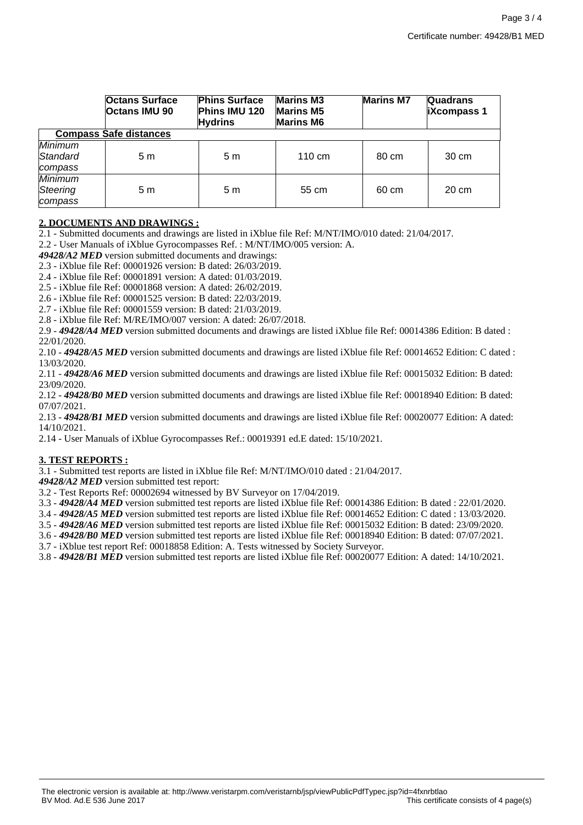|                                       | <b>Octans Surface</b><br><b>Octans IMU 90</b> | <b>Phins Surface</b><br>Phins IMU 120<br><b>Hydrins</b> | <b>Marins M3</b><br><b>Marins M5</b><br><b>Marins M6</b> | <b>Marins M7</b> | <b>Quadrans</b><br><b>iXcompass 1</b> |  |  |  |
|---------------------------------------|-----------------------------------------------|---------------------------------------------------------|----------------------------------------------------------|------------------|---------------------------------------|--|--|--|
| <b>Compass Safe distances</b>         |                                               |                                                         |                                                          |                  |                                       |  |  |  |
| Minimum<br>Standard<br>compass        | 5m                                            | 5 m                                                     | $110 \text{ cm}$                                         | 80 cm            | 30 cm                                 |  |  |  |
| <b>Minimum</b><br>Steering<br>compass | 5m                                            | 5 m                                                     | 55 cm                                                    | 60 cm            | 20 cm                                 |  |  |  |

### **2. DOCUMENTS AND DRAWINGS :**

2.1 - Submitted documents and drawings are listed in iXblue file Ref: M/NT/IMO/010 dated: 21/04/2017.

2.2 - User Manuals of iXblue Gyrocompasses Ref. : M/NT/IMO/005 version: A.

*49428/A2 MED* version submitted documents and drawings:

2.3 - iXblue file Ref: 00001926 version: B dated: 26/03/2019.

2.4 - iXblue file Ref: 00001891 version: A dated: 01/03/2019.

2.5 - iXblue file Ref: 00001868 version: A dated: 26/02/2019.

2.6 - iXblue file Ref: 00001525 version: B dated: 22/03/2019.

2.7 - iXblue file Ref: 00001559 version: B dated: 21/03/2019.

2.8 - iXblue file Ref: M/RE/IMO/007 version: A dated: 26/07/2018.

2.9 - *49428/A4 MED* version submitted documents and drawings are listed iXblue file Ref: 00014386 Edition: B dated : 22/01/2020.

2.10 - *49428/A5 MED* version submitted documents and drawings are listed iXblue file Ref: 00014652 Edition: C dated : 13/03/2020.

2.11 - *49428/A6 MED* version submitted documents and drawings are listed iXblue file Ref: 00015032 Edition: B dated: 23/09/2020.

2.12 - *49428/B0 MED* version submitted documents and drawings are listed iXblue file Ref: 00018940 Edition: B dated: 07/07/2021.

2.13 - *49428/B1 MED* version submitted documents and drawings are listed iXblue file Ref: 00020077 Edition: A dated: 14/10/2021.

2.14 - User Manuals of iXblue Gyrocompasses Ref.: 00019391 ed.E dated: 15/10/2021.

#### **3. TEST REPORTS :**

3.1 - Submitted test reports are listed in iXblue file Ref: M/NT/IMO/010 dated : 21/04/2017.

*49428/A2 MED* version submitted test report:

3.2 - Test Reports Ref: 00002694 witnessed by BV Surveyor on 17/04/2019.

3.3 - *49428/A4 MED* version submitted test reports are listed iXblue file Ref: 00014386 Edition: B dated : 22/01/2020.

3.4 - *49428/A5 MED* version submitted test reports are listed iXblue file Ref: 00014652 Edition: C dated : 13/03/2020.

3.5 - *49428/A6 MED* version submitted test reports are listed iXblue file Ref: 00015032 Edition: B dated: 23/09/2020.

3.6 - *49428/B0 MED* version submitted test reports are listed iXblue file Ref: 00018940 Edition: B dated: 07/07/2021.

3.7 - iXblue test report Ref: 00018858 Edition: A. Tests witnessed by Society Surveyor.

3.8 - *49428/B1 MED* version submitted test reports are listed iXblue file Ref: 00020077 Edition: A dated: 14/10/2021.